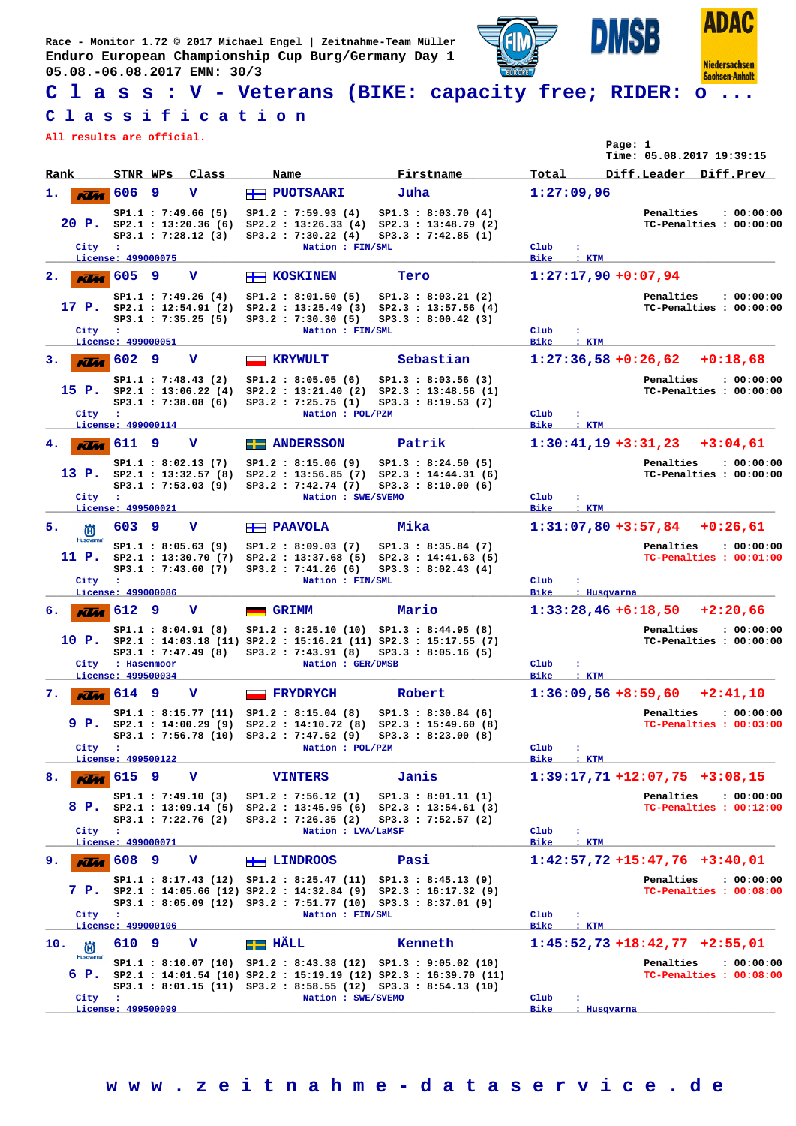**Race - Monitor 1.72 © 2017 Michael Engel | Zeitnahme-Team Müller Enduro European Championship Cup Burg/Germany Day 1 05.08.-06.08.2017 EMN: 30/3**



**ADAC** 

**Niedersachsen** 

**C l a s s : V - Veterans (BIKE: capacity free; RIDER: o ...**

## **C l a s s i f i c a t i o n**

**All results are official.**

| All results are official. |                                        |   |                                                                         |                          |                                                                                                                                              |      |                                                                                                                                                                                                 |                          |                        | Page: 1 | Time: 05.08.2017 19:39:15                    |                                       |
|---------------------------|----------------------------------------|---|-------------------------------------------------------------------------|--------------------------|----------------------------------------------------------------------------------------------------------------------------------------------|------|-------------------------------------------------------------------------------------------------------------------------------------------------------------------------------------------------|--------------------------|------------------------|---------|----------------------------------------------|---------------------------------------|
| Rank                      | STNR WPs                               |   | Class                                                                   | Name                     |                                                                                                                                              |      | Firstname                                                                                                                                                                                       | Total                    |                        |         | Diff.Leader Diff.Prev                        |                                       |
| 1.<br><b>KV</b> a         | 606                                    | 9 | v                                                                       |                          | $H$ PUOTSAARI                                                                                                                                | Juha |                                                                                                                                                                                                 |                          | 1:27:09,96             |         |                                              |                                       |
| City :                    |                                        |   | SP1.1 : 7:49.66(5)<br>SP3.1 : 7:28.12(3)                                |                          | SP1.2 : 7:59.93(4)<br>SP3.2 : 7:30.22(4)<br>Nation : FIN/SML                                                                                 |      | SP1.3 : 8:03.70(4)<br>20 P. sp2.1 : 13:20.36 (6) Sp2.2 : 13:26.33 (4) Sp2.3 : 13:48.79 (2)<br>SP3.3 : 7:42.85(1)                                                                                | Club                     | ÷                      |         | Penalties                                    | : 00:00:00<br>TC-Penalties : 00:00:00 |
|                           | License: 499000075                     |   |                                                                         |                          |                                                                                                                                              |      |                                                                                                                                                                                                 | <b>Bike</b>              | $:$ KTM                |         |                                              |                                       |
| 2.                        | $\overline{K}$ 605                     | 9 | v                                                                       | <b>H</b> KOSKINEN        |                                                                                                                                              | Tero |                                                                                                                                                                                                 |                          | $1:27:17,90 +0:07,94$  |         |                                              |                                       |
| City                      | $\mathbf{r}$<br>License: 499000051     |   | SP1.1 : 7:49.26(4)<br>SP3.1 : 7:35.25(5)                                |                          | SP1.2 : 8:01.50(5)<br>SP3.2 : 7:30.30(5)<br>Nation : FIN/SML                                                                                 |      | SP1.3 : 8:03.21 (2)<br>17 P. $SP2.1: 12:54.91(2) SP2.2: 13:25.49(3) SP2.3: 13:57.56(4)$<br>SP3.3 : 8:00.42(3)                                                                                   | Club<br><b>Bike</b>      | $\mathbf{r}$<br>: KTM  |         | Penalties                                    | : 00:00:00<br>TC-Penalties : 00:00:00 |
| з.                        | $\overline{\text{K/m}}$ 602 9          |   | v                                                                       | $\overline{\phantom{0}}$ | <b>KRYWULT</b>                                                                                                                               |      | Sebastian                                                                                                                                                                                       |                          |                        |         | $1:27:36,58+0:26,62$                         | $+0:18.68$                            |
| 15 P.<br>City             | $\sim$ 100 $\pm$                       |   | SP1.1 : 7:48.43 (2)<br>SP2.1 : 13:06.22 (4)<br>SP3.1 : 7:38.08(6)       |                          | SP1.2 : 8:05.05(6)<br>SP3.2 : 7:25.75(1)<br>Nation : POL/PZM                                                                                 |      | SP1.3 : 8:03.56(3)<br>SP2.2: 13:21.40 (2) SP2.3: 13:48.56 (1)<br>SP3.3 : 8:19.53 (7)                                                                                                            | Club                     | ÷                      |         | Penalties                                    | : 00:00:00<br>TC-Penalties : 00:00:00 |
|                           | License: 499000114                     |   |                                                                         |                          |                                                                                                                                              |      |                                                                                                                                                                                                 | <b>Bike</b>              | $:$ KTM                |         |                                              |                                       |
| 4.<br><b>KUM</b>          | 611                                    | 9 | v                                                                       |                          | <b>Exercise ANDERSSON</b>                                                                                                                    |      | Patrik                                                                                                                                                                                          |                          |                        |         | $1:30:41,19+3:31,23+3:04,61$                 |                                       |
| City                      | - 11<br>License: 499500021             |   | SP1.1 : 8:02.13(7)<br>13 P. $SP2.1 : 13:32.57(8)$<br>SP3.1 : 7:53.03(9) |                          | SP1.2 : 8:15.06 (9)<br>SP2.2 : 13:56.85(7)<br>SP3.2 : 7:42.74(7)<br>Nation : SWE/SVEMO                                                       |      | SP1.3 : 8:24.50(5)<br>SP2.3 : 14:44.31(6)<br>SP3.3 : 8:10.00(6)                                                                                                                                 | Club<br><b>Bike</b>      | ÷<br>: KTM             |         | Penalties                                    | : 00:00:00<br>TC-Penalties : 00:00:00 |
| 5.<br>尚                   | 603                                    | 9 | v                                                                       | <b>FRAVOLA</b>           |                                                                                                                                              | Mika |                                                                                                                                                                                                 |                          |                        |         | $1:31:07,80+3:57,84$ +0:26,61                |                                       |
| <b>Husqvarna</b><br>11 P. |                                        |   | SP1.1 : 8:05.63(9)<br>SP3.1 : 7:43.60(7)                                |                          | SP1.2 : 8:09.03(7)<br>SP3.2 : 7:41.26(6)                                                                                                     |      | SP1.3 : 8:35.84 (7)<br>SP2.1: 13:30.70 (7) SP2.2: 13:37.68 (5) SP2.3: 14:41.63 (5)<br>SP3.3 : 8:02.43(4)                                                                                        |                          |                        |         | Penalties                                    | : 00:00:00<br>TC-Penalties : 00:01:00 |
| City :                    | License: 499000086                     |   |                                                                         |                          | Nation : FIN/SML                                                                                                                             |      |                                                                                                                                                                                                 | Club<br><b>Bike</b>      | : Husqvarna            |         |                                              |                                       |
| 6.                        | $\overline{K}$ 612 9                   |   | v                                                                       | GRIMM                    |                                                                                                                                              |      | Mario                                                                                                                                                                                           |                          |                        |         | $1:33:28,46+6:18,50$                         | $+2:20,66$                            |
|                           | City : Hasenmoor<br>License: 499500034 |   | SP1.1 : 8:04.91(8)<br>$SP3.1$ : 7:47.49 (8)                             |                          | SP1.2: 8:25.10 (10) SP1.3: 8:44.95 (8)<br>SP3.2 : 7:43.91(8)<br>Nation : GER/DMSB                                                            |      | 10 P. sp2.1 : 14:03.18 (11) Sp2.2 : 15:16.21 (11) Sp2.3 : 15:17.55 (7)<br>SP3.3 : 8:05.16(5)                                                                                                    | Club<br><b>Bike</b>      | ÷<br>: KTM             |         | Penalties                                    | : 00:00:00<br>TC-Penalties : 00:00:00 |
| 7.                        | $K$ $M$ 614                            | 9 | v                                                                       |                          | <b>FRYDRYCH</b>                                                                                                                              |      | Robert                                                                                                                                                                                          |                          | $1:36:09,56 + 8:59,60$ |         |                                              | $+2:41,10$                            |
| 9 P.<br>City :            |                                        |   |                                                                         |                          | SP1.1: 8:15.77 (11) SP1.2: 8:15.04 (8)<br>Nation : POL/PZM                                                                                   |      | SP1.3 : 8:30.84(6)<br>SP2.1: 14:00.29 (9) SP2.2: 14:10.72 (8) SP2.3: 15:49.60 (8)<br>SP3.1: 7:56.78 (10) SP3.2: 7:47.52 (9) SP3.3: 8:23.00 (8)                                                  | Club                     |                        |         | Penalties                                    | : 00:00:00<br>TC-Penalties : 00:03:00 |
|                           | License: 499500122                     |   |                                                                         |                          |                                                                                                                                              |      |                                                                                                                                                                                                 | <b>Bike</b>              | : KTM                  |         |                                              |                                       |
| 8.<br><b>KLM</b>          | 615 9                                  |   | v                                                                       |                          | <b>VINTERS</b>                                                                                                                               |      | Janis                                                                                                                                                                                           |                          |                        |         | $1:39:17,71+12:07,75+3:08,15$                |                                       |
| City :                    |                                        |   | SP1.1 : 7:49.10(3)<br>$SP3.1$ : 7:22.76 (2)                             |                          | SP1.2 : 7:56.12(1)<br>SP3.2 : 7:26.35(2)<br>Nation : LVA/LaMSF                                                                               |      | SP1.3 : 8:01.11 (1)<br>8 P. SP2.1 : 13:09.14 (5) SP2.2 : 13:45.95 (6) SP2.3 : 13:54.61 (3)<br>SP3.3 : 7:52.57(2)                                                                                | Club                     | ÷                      |         | Penalties                                    | : 00:00:00<br>TC-Penalties : 00:12:00 |
|                           | License: 499000071                     |   |                                                                         |                          |                                                                                                                                              |      |                                                                                                                                                                                                 | <b>Bike</b>              | : KTM                  |         |                                              |                                       |
| 9.                        | $\overline{K}$ 608 9                   |   | v                                                                       | <b>H</b> LINDROOS        |                                                                                                                                              | Pasi |                                                                                                                                                                                                 |                          |                        |         | $1:42:57,72$ +15:47,76 +3:40,01<br>Penalties |                                       |
| City                      | $\cdot$ :<br>License: 499000106        |   |                                                                         |                          | SP1.1: 8:17.43 (12) SP1.2: 8:25.47 (11) SP1.3: 8:45.13 (9)<br>SP3.1: 8:05.09 (12) SP3.2: 7:51.77 (10) SP3.3: 8:37.01 (9)<br>Nation : FIN/SML |      | 7 P. sp2.1 : 14:05.66 (12) Sp2.2 : 14:32.84 (9) Sp2.3 : 16:17.32 (9)                                                                                                                            | Club<br><b>Bike</b>      | ÷<br>$:$ KTM           |         |                                              | : 00:00:00<br>TC-Penalties : 00:08:00 |
| 10.<br>尚                  | 610                                    | 9 | v                                                                       | EI HÄLL                  |                                                                                                                                              |      | Kenneth                                                                                                                                                                                         |                          |                        |         | $1:45:52,73$ +18:42,77 +2:55,01              |                                       |
| <b>Husqvarna</b><br>6 P.  |                                        |   |                                                                         |                          |                                                                                                                                              |      | SP1.1: 8:10.07 (10) SP1.2: 8:43.38 (12) SP1.3: 9:05.02 (10)<br>SP2.1 : 14:01.54 (10) SP2.2 : 15:19.19 (12) SP2.3 : 16:39.70 (11)<br>SP3.1: 8:01.15 (11) SP3.2: 8:58.55 (12) SP3.3: 8:54.13 (10) |                          |                        |         | Penalties                                    | : 00:00:00<br>TC-Penalties : 00:08:00 |
| City                      | $\mathbf{r}$<br>License: 499500099     |   |                                                                         |                          | Nation : SWE/SVEMO                                                                                                                           |      |                                                                                                                                                                                                 | $_{\text{Club}}$<br>Bike | ÷<br>: Husqvarna       |         |                                              |                                       |